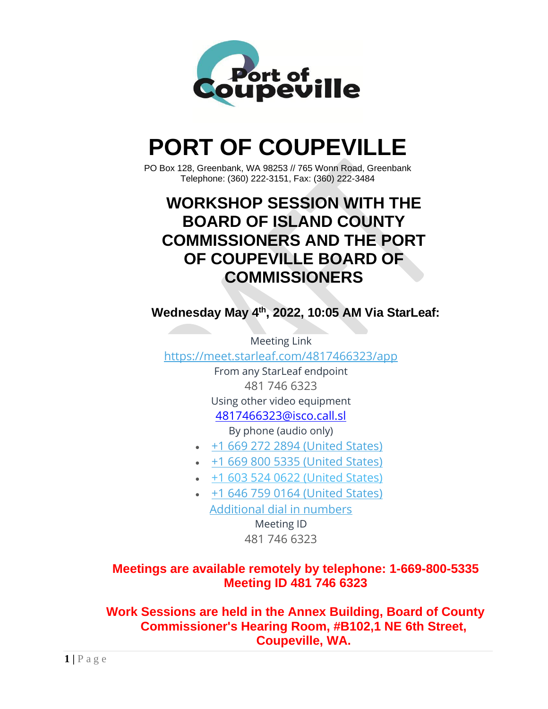

# **PORT OF COUPEVILLE**

PO Box 128, Greenbank, WA 98253 // 765 Wonn Road, Greenbank Telephone: (360) 222-3151, Fax: (360) 222-3484

## **WORKSHOP SESSION WITH THE BOARD OF ISLAND COUNTY COMMISSIONERS AND THE PORT OF COUPEVILLE BOARD OF COMMISSIONERS**

**Wednesday May 4th , 2022, 10:05 AM Via StarLeaf:**

Meeting Link <https://meet.starleaf.com/4817466323/app>

From any StarLeaf endpoint 481 746 6323 Using other video equipment [4817466323@isco.call.sl](mailto:4817466323@isco.call.sl) By phone (audio only)

- [+1 669 272 2894 \(United States\)](tel:+16692722894,4817466323)
- [+1 669 800 5335 \(United States\)](tel:+16698005335,4817466323)
- [+1 603 524 0622 \(United States\)](tel:+16035240622,4817466323)
- [+1 646 759 0164 \(United States\)](tel:+16467590164,4817466323) [Additional dial in numbers](https://meet.starleaf.com/4817466323/audio) Meeting ID

481 746 6323

### **Meetings are available remotely by telephone: 1-669-800-5335 Meeting ID 481 746 6323**

**Work Sessions are held in the Annex Building, Board of County Commissioner's Hearing Room, #B102,1 NE 6th Street, Coupeville, WA.**